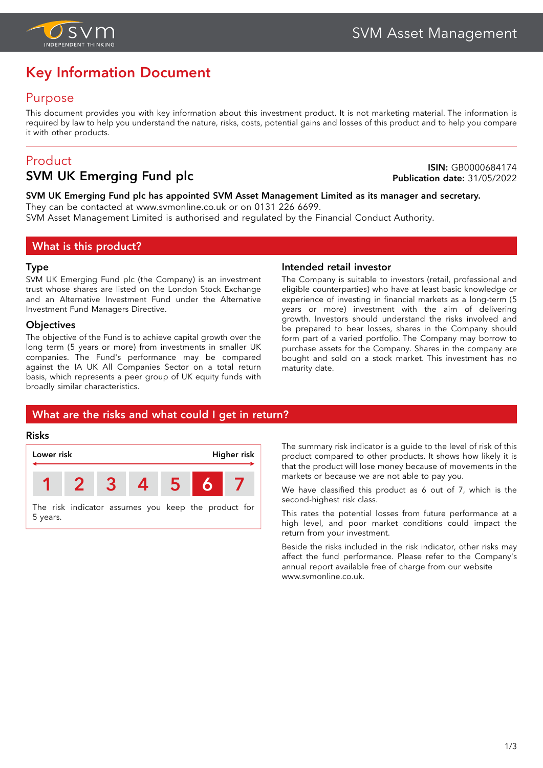

# **Key Information Document**

## Purpose

This document provides you with key information about this investment product. It is not marketing material. The information is required by law to help you understand the nature, risks, costs, potential gains and losses of this product and to help you compare it with other products.

## Product

## **SVM UK Emerging Fund plc**

**ISIN:** GB0000684174 **Publication date:** 31/05/2022

#### **SVM UK Emerging Fund plc has appointed SVM Asset Management Limited as its manager and secretary.** They can be contacted at www.svmonline.co.uk or on 0131 226 6699.

SVM Asset Management Limited is authorised and regulated by the Financial Conduct Authority.

## **What is this product?**

#### **Type**

SVM UK Emerging Fund plc (the Company) is an investment trust whose shares are listed on the London Stock Exchange and an Alternative Investment Fund under the Alternative Investment Fund Managers Directive.

#### **Objectives**

The objective of the Fund is to achieve capital growth over the long term (5 years or more) from investments in smaller UK companies. The Fund's performance may be compared against the IA UK All Companies Sector on a total return basis, which represents a peer group of UK equity funds with broadly similar characteristics.

#### **Intended retail investor**

The Company is suitable to investors (retail, professional and eligible counterparties) who have at least basic knowledge or experience of investing in financial markets as a long-term (5 years or more) investment with the aim of delivering growth. Investors should understand the risks involved and be prepared to bear losses, shares in the Company should form part of a varied portfolio. The Company may borrow to purchase assets for the Company. Shares in the company are bought and sold on a stock market. This investment has no maturity date.

## **What are the risks and what could I get in return?**

#### **Risks**



The summary risk indicator is a guide to the level of risk of this product compared to other products. It shows how likely it is that the product will lose money because of movements in the markets or because we are not able to pay you.

We have classified this product as 6 out of 7, which is the second-highest risk class.

This rates the potential losses from future performance at a high level, and poor market conditions could impact the return from your investment.

Beside the risks included in the risk indicator, other risks may affect the fund performance. Please refer to the Company's annual report available free of charge from our website [www.svmonline.co.uk.](www.svmonline.co.uk)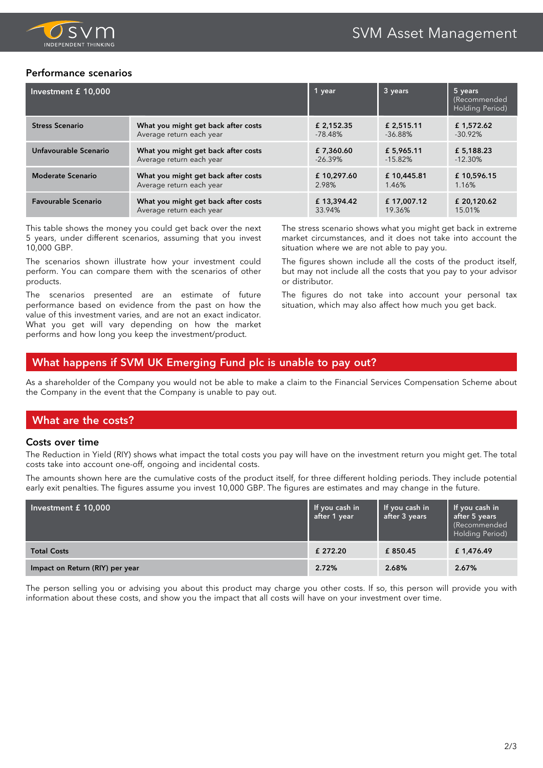

#### **Performance scenarios**

| Investment £ 10,000        |                                     | 1 year     | 3 years    | 5 years<br>(Recommended<br>Holding Period) |
|----------------------------|-------------------------------------|------------|------------|--------------------------------------------|
| <b>Stress Scenario</b>     | What you might get back after costs | £ 2.152.35 | £ 2.515.11 | £1,572.62                                  |
|                            | Average return each year            | $-78.48\%$ | $-36.88\%$ | $-30.92\%$                                 |
| Unfavourable Scenario      | What you might get back after costs | £7,360.60  | £ 5,965.11 | £5.188.23                                  |
|                            | Average return each year            | $-26.39\%$ | $-15.82%$  | $-12.30\%$                                 |
| <b>Moderate Scenario</b>   | What you might get back after costs | £10,297.60 | £10,445.81 | £10,596.15                                 |
|                            | Average return each year            | 2.98%      | 1.46%      | 1.16%                                      |
| <b>Favourable Scenario</b> | What you might get back after costs | £13,394.42 | £17,007.12 | £ 20,120.62                                |
|                            | Average return each year            | 33.94%     | 19.36%     | 15.01%                                     |

This table shows the money you could get back over the next 5 years, under different scenarios, assuming that you invest 10,000 GBP.

The scenarios shown illustrate how your investment could perform. You can compare them with the scenarios of other products.

The scenarios presented are an estimate of future performance based on evidence from the past on how the value of this investment varies, and are not an exact indicator. What you get will vary depending on how the market performs and how long you keep the investment/product.

The stress scenario shows what you might get back in extreme market circumstances, and it does not take into account the situation where we are not able to pay you.

The figures shown include all the costs of the product itself, but may not include all the costs that you pay to your advisor or distributor.

The figures do not take into account your personal tax situation, which may also affect how much you get back.

## **What happens if SVM UK Emerging Fund plc is unable to pay out?**

As a shareholder of the Company you would not be able to make a claim to the Financial Services Compensation Scheme about the Company in the event that the Company is unable to pay out.

## **What are the costs?**

#### **Costs over time**

The Reduction in Yield (RIY) shows what impact the total costs you pay will have on the investment return you might get. The total costs take into account one-off, ongoing and incidental costs.

The amounts shown here are the cumulative costs of the product itself, for three different holding periods. They include potential early exit penalties. The figures assume you invest 10,000 GBP. The figures are estimates and may change in the future.

| Investment £ 10,000             | If you cash in<br>after 1 year | If you cash in<br>after 3 years | If you cash in<br>after 5 years<br>(Recommended<br>Holding Period) |
|---------------------------------|--------------------------------|---------------------------------|--------------------------------------------------------------------|
| <b>Total Costs</b>              | £ 272.20                       | £850.45                         | £1,476.49                                                          |
| Impact on Return (RIY) per year | 2.72%                          | 2.68%                           | 2.67%                                                              |

The person selling you or advising you about this product may charge you other costs. If so, this person will provide you with information about these costs, and show you the impact that all costs will have on your investment over time.